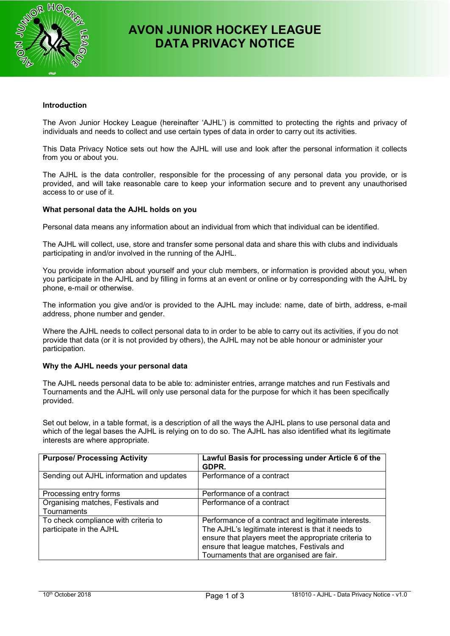

# **AVON JUNIOR HOCKEY LEAGUE DATA PRIVACY NOTICE**

# **Introduction**

The Avon Junior Hockey League (hereinafter 'AJHL') is committed to protecting the rights and privacy of individuals and needs to collect and use certain types of data in order to carry out its activities.

This Data Privacy Notice sets out how the AJHL will use and look after the personal information it collects from you or about you.

The AJHL is the data controller, responsible for the processing of any personal data you provide, or is provided, and will take reasonable care to keep your information secure and to prevent any unauthorised access to or use of it.

## **What personal data the AJHL holds on you**

Personal data means any information about an individual from which that individual can be identified.

The AJHL will collect, use, store and transfer some personal data and share this with clubs and individuals participating in and/or involved in the running of the AJHL.

You provide information about yourself and your club members, or information is provided about you, when you participate in the AJHL and by filling in forms at an event or online or by corresponding with the AJHL by phone, e-mail or otherwise.

The information you give and/or is provided to the AJHL may include: name, date of birth, address, e-mail address, phone number and gender.

Where the AJHL needs to collect personal data to in order to be able to carry out its activities, if you do not provide that data (or it is not provided by others), the AJHL may not be able honour or administer your participation.

## **Why the AJHL needs your personal data**

The AJHL needs personal data to be able to: administer entries, arrange matches and run Festivals and Tournaments and the AJHL will only use personal data for the purpose for which it has been specifically provided.

Set out below, in a table format, is a description of all the ways the AJHL plans to use personal data and which of the legal bases the AJHL is relying on to do so. The AJHL has also identified what its legitimate interests are where appropriate.

| <b>Purpose/ Processing Activity</b>                             | Lawful Basis for processing under Article 6 of the<br>GDPR.                                                                                                                                                                                                |
|-----------------------------------------------------------------|------------------------------------------------------------------------------------------------------------------------------------------------------------------------------------------------------------------------------------------------------------|
| Sending out AJHL information and updates                        | Performance of a contract                                                                                                                                                                                                                                  |
| Processing entry forms                                          | Performance of a contract                                                                                                                                                                                                                                  |
| Organising matches, Festivals and<br>Tournaments                | Performance of a contract                                                                                                                                                                                                                                  |
| To check compliance with criteria to<br>participate in the AJHL | Performance of a contract and legitimate interests.<br>The AJHL's legitimate interest is that it needs to<br>ensure that players meet the appropriate criteria to<br>ensure that league matches, Festivals and<br>Tournaments that are organised are fair. |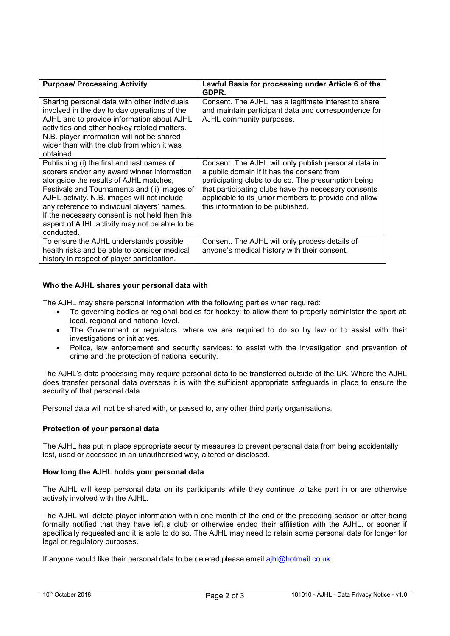| <b>Purpose/ Processing Activity</b>                                                                                                                                                                                                                                                                                                                                                                | Lawful Basis for processing under Article 6 of the<br>GDPR.                                                                                                                                                                                                                                                     |
|----------------------------------------------------------------------------------------------------------------------------------------------------------------------------------------------------------------------------------------------------------------------------------------------------------------------------------------------------------------------------------------------------|-----------------------------------------------------------------------------------------------------------------------------------------------------------------------------------------------------------------------------------------------------------------------------------------------------------------|
| Sharing personal data with other individuals<br>involved in the day to day operations of the<br>AJHL and to provide information about AJHL<br>activities and other hockey related matters.<br>N.B. player information will not be shared<br>wider than with the club from which it was<br>obtained.                                                                                                | Consent. The AJHL has a legitimate interest to share<br>and maintain participant data and correspondence for<br>AJHL community purposes.                                                                                                                                                                        |
| Publishing (i) the first and last names of<br>scorers and/or any award winner information<br>alongside the results of AJHL matches,<br>Festivals and Tournaments and (ii) images of<br>AJHL activity. N.B. images will not include<br>any reference to individual players' names.<br>If the necessary consent is not held then this<br>aspect of AJHL activity may not be able to be<br>conducted. | Consent. The AJHL will only publish personal data in<br>a public domain if it has the consent from<br>participating clubs to do so. The presumption being<br>that participating clubs have the necessary consents<br>applicable to its junior members to provide and allow<br>this information to be published. |
| To ensure the AJHL understands possible<br>health risks and be able to consider medical<br>history in respect of player participation.                                                                                                                                                                                                                                                             | Consent. The AJHL will only process details of<br>anyone's medical history with their consent.                                                                                                                                                                                                                  |

# **Who the AJHL shares your personal data with**

The AJHL may share personal information with the following parties when required:

- To governing bodies or regional bodies for hockey: to allow them to properly administer the sport at: local, regional and national level.
- The Government or regulators: where we are required to do so by law or to assist with their investigations or initiatives.
- Police, law enforcement and security services: to assist with the investigation and prevention of crime and the protection of national security.

The AJHL's data processing may require personal data to be transferred outside of the UK. Where the AJHL does transfer personal data overseas it is with the sufficient appropriate safeguards in place to ensure the security of that personal data.

Personal data will not be shared with, or passed to, any other third party organisations.

## **Protection of your personal data**

The AJHL has put in place appropriate security measures to prevent personal data from being accidentally lost, used or accessed in an unauthorised way, altered or disclosed.

## **How long the AJHL holds your personal data**

The AJHL will keep personal data on its participants while they continue to take part in or are otherwise actively involved with the AJHL.

The AJHL will delete player information within one month of the end of the preceding season or after being formally notified that they have left a club or otherwise ended their affiliation with the AJHL, or sooner if specifically requested and it is able to do so. The AJHL may need to retain some personal data for longer for legal or regulatory purposes.

If anyone would like their personal data to be deleted please email ajhl@hotmail.co.uk.